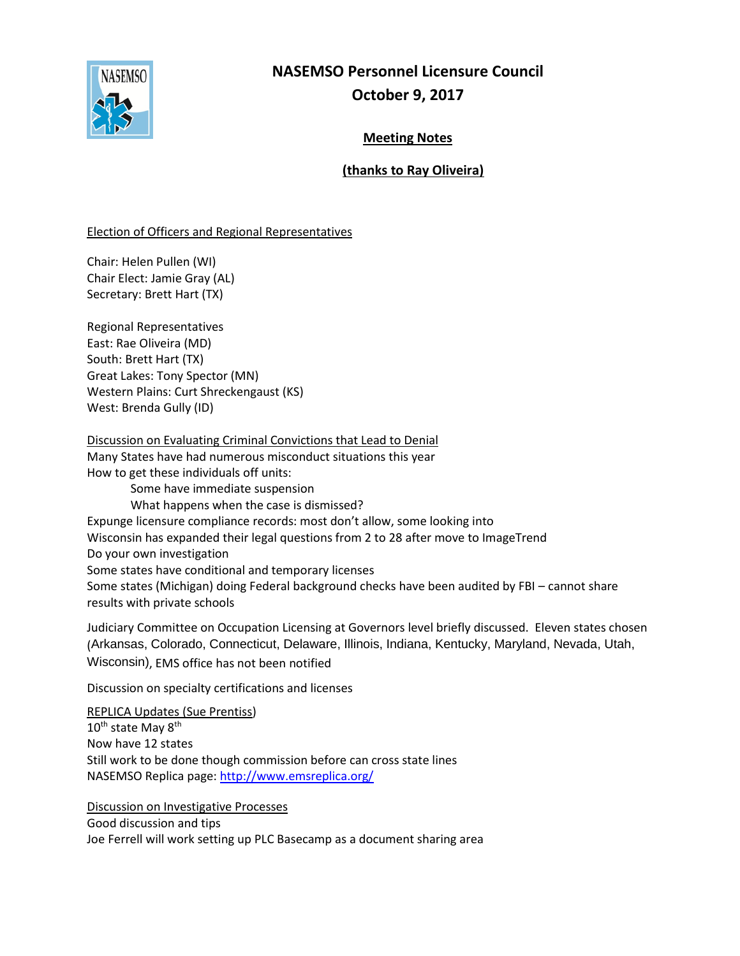

# **NASEMSO Personnel Licensure Council October 9, 2017**

# **Meeting Notes**

## **(thanks to Ray Oliveira)**

### Election of Officers and Regional Representatives

Chair: Helen Pullen (WI) Chair Elect: Jamie Gray (AL) Secretary: Brett Hart (TX)

Regional Representatives East: Rae Oliveira (MD) South: Brett Hart (TX) Great Lakes: Tony Spector (MN) Western Plains: Curt Shreckengaust (KS) West: Brenda Gully (ID)

Discussion on Evaluating Criminal Convictions that Lead to Denial Many States have had numerous misconduct situations this year How to get these individuals off units: Some have immediate suspension What happens when the case is dismissed? Expunge licensure compliance records: most don't allow, some looking into Wisconsin has expanded their legal questions from 2 to 28 after move to ImageTrend Do your own investigation Some states have conditional and temporary licenses Some states (Michigan) doing Federal background checks have been audited by FBI – cannot share results with private schools

Judiciary Committee on Occupation Licensing at Governors level briefly discussed. Eleven states chosen (Arkansas, Colorado, Connecticut, Delaware, Illinois, Indiana, Kentucky, Maryland, Nevada, Utah, Wisconsin), EMS office has not been notified

Discussion on specialty certifications and licenses

REPLICA Updates (Sue Prentiss)  $10^{\text{th}}$  state May  $8^{\text{th}}$ Now have 12 states Still work to be done though commission before can cross state lines NASEMSO Replica page:<http://www.emsreplica.org/>

Discussion on Investigative Processes

Good discussion and tips Joe Ferrell will work setting up PLC Basecamp as a document sharing area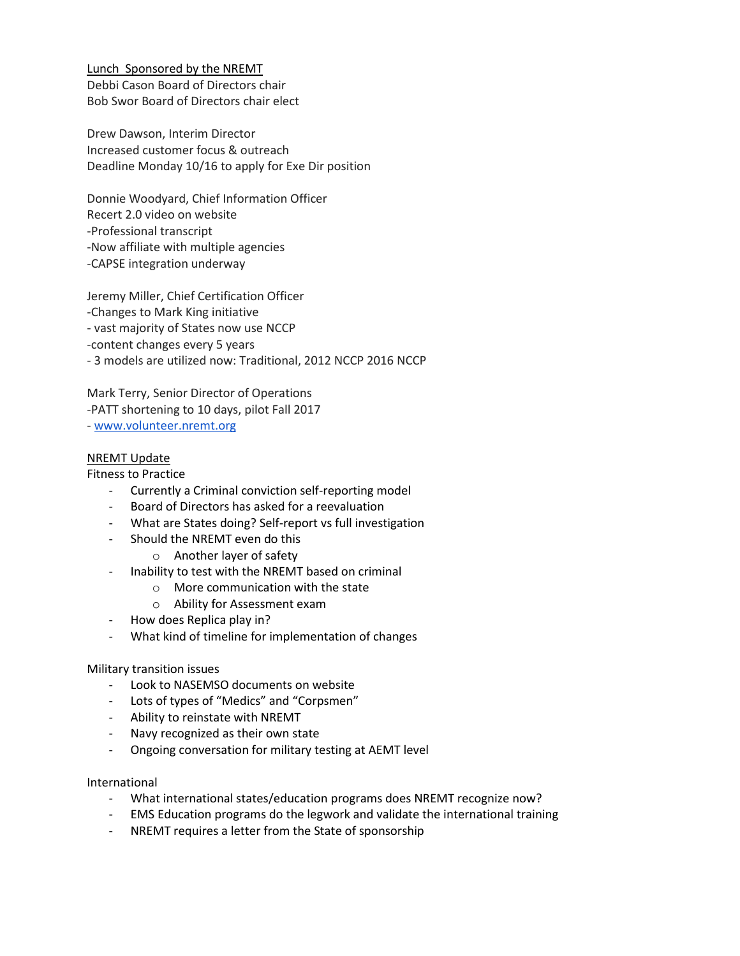Lunch Sponsored by the NREMT Debbi Cason Board of Directors chair Bob Swor Board of Directors chair elect

Drew Dawson, Interim Director Increased customer focus & outreach Deadline Monday 10/16 to apply for Exe Dir position

Donnie Woodyard, Chief Information Officer Recert 2.0 video on website -Professional transcript -Now affiliate with multiple agencies -CAPSE integration underway

Jeremy Miller, Chief Certification Officer -Changes to Mark King initiative - vast majority of States now use NCCP -content changes every 5 years - 3 models are utilized now: Traditional, 2012 NCCP 2016 NCCP

Mark Terry, Senior Director of Operations -PATT shortening to 10 days, pilot Fall 2017 - [www.volunteer.nremt.org](http://www.volunteer.nremt.org/)

### NREMT Update

Fitness to Practice

- Currently a Criminal conviction self-reporting model
- Board of Directors has asked for a reevaluation
- What are States doing? Self-report vs full investigation
- Should the NREMT even do this
	- o Another layer of safety
- Inability to test with the NREMT based on criminal
	- o More communication with the state
	- o Ability for Assessment exam
- How does Replica play in?
- What kind of timeline for implementation of changes

#### Military transition issues

- Look to NASEMSO documents on website
- Lots of types of "Medics" and "Corpsmen"
- Ability to reinstate with NREMT
- Navy recognized as their own state
- Ongoing conversation for military testing at AEMT level

#### International

- What international states/education programs does NREMT recognize now?
- EMS Education programs do the legwork and validate the international training
- NREMT requires a letter from the State of sponsorship